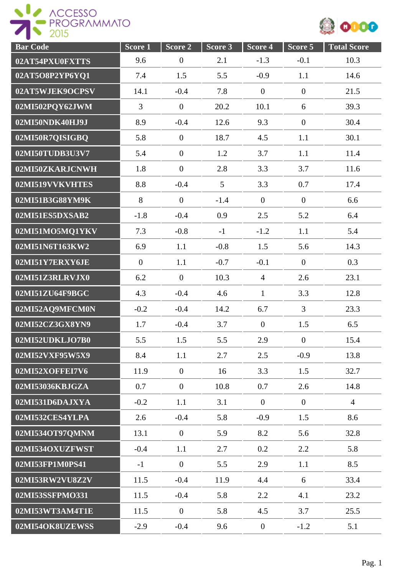



| <b>Bar Code</b> | Score 1          | Score 2          | Score 3         | Score 4          | Score 5          | <b>Total Score</b> |
|-----------------|------------------|------------------|-----------------|------------------|------------------|--------------------|
| 02AT54PXU0FXTTS | 9.6              | $\boldsymbol{0}$ | 2.1             | $-1.3$           | $-0.1$           | 10.3               |
| 02AT5O8P2YP6YQ1 | 7.4              | 1.5              | 5.5             | $-0.9$           | 1.1              | 14.6               |
| 02AT5WJEK9OCPSV | 14.1             | $-0.4$           | 7.8             | $\boldsymbol{0}$ | $\boldsymbol{0}$ | 21.5               |
| 02MI502PQY62JWM | $\overline{3}$   | $\overline{0}$   | 20.2            | 10.1             | 6                | 39.3               |
| 02MI50NDK40HJ9J | 8.9              | $-0.4$           | 12.6            | 9.3              | $\mathbf{0}$     | 30.4               |
| 02MI50R7QISIGBQ | 5.8              | $\boldsymbol{0}$ | 18.7            | 4.5              | 1.1              | 30.1               |
| 02MI50TUDB3U3V7 | 5.4              | $\boldsymbol{0}$ | 1.2             | 3.7              | 1.1              | 11.4               |
| 02MI50ZKARJCNWH | 1.8              | $\boldsymbol{0}$ | 2.8             | 3.3              | 3.7              | 11.6               |
| 02MI519VVKVHTES | 8.8              | $-0.4$           | $5\overline{)}$ | 3.3              | 0.7              | 17.4               |
| 02MI51B3G88YM9K | 8                | $\overline{0}$   | $-1.4$          | $\overline{0}$   | $\overline{0}$   | 6.6                |
| 02MI51ES5DXSAB2 | $-1.8$           | $-0.4$           | 0.9             | 2.5              | 5.2              | 6.4                |
| 02MI51MO5MQ1YKV | 7.3              | $-0.8$           | $-1$            | $-1.2$           | 1.1              | 5.4                |
| 02MI51N6T163KW2 | 6.9              | 1.1              | $-0.8$          | 1.5              | 5.6              | 14.3               |
| 02MI51Y7ERXY6JE | $\boldsymbol{0}$ | 1.1              | $-0.7$          | $-0.1$           | $\overline{0}$   | 0.3                |
| 02MI51Z3RLRVJX0 | 6.2              | $\overline{0}$   | 10.3            | $\overline{4}$   | 2.6              | 23.1               |
| 02MI51ZU64F9BGC | 4.3              | $-0.4$           | 4.6             | $\mathbf{1}$     | 3.3              | 12.8               |
| 02MI52AQ9MFCM0N | $-0.2$           | $-0.4$           | 14.2            | 6.7              | $\overline{3}$   | 23.3               |
| 02MI52CZ3GX8YN9 | 1.7              | $-0.4$           | 3.7             | $\overline{0}$   | 1.5              | 6.5                |
| 02MI52UDKLJO7B0 | 5.5              | 1.5              | 5.5             | 2.9              | $\boldsymbol{0}$ | 15.4               |
| 02MI52VXF95W5X9 | 8.4              | 1.1              | 2.7             | 2.5              | $-0.9$           | 13.8               |
| 02MI52XOFFEI7V6 | 11.9             | $\boldsymbol{0}$ | 16              | 3.3              | 1.5              | 32.7               |
| 02MI53036KBJGZA | 0.7              | $\overline{0}$   | 10.8            | 0.7              | 2.6              | 14.8               |
| 02MI531D6DAJXYA | $-0.2$           | 1.1              | 3.1             | $\overline{0}$   | $\overline{0}$   | $\overline{4}$     |
| 02MI532CES4YLPA | 2.6              | $-0.4$           | 5.8             | $-0.9$           | 1.5              | 8.6                |
| 02MI534OT97QMNM | 13.1             | $\mathbf{0}$     | 5.9             | 8.2              | 5.6              | 32.8               |
| 02MI534OXUZFWST | $-0.4$           | 1.1              | 2.7             | 0.2              | 2.2              | 5.8                |
| 02MI53FP1M0PS41 | $-1$             | $\boldsymbol{0}$ | 5.5             | 2.9              | 1.1              | 8.5                |
| 02MI53RW2VU8Z2V | 11.5             | $-0.4$           | 11.9            | 4.4              | 6                | 33.4               |
| 02MI53SSFPMO331 | 11.5             | $-0.4$           | 5.8             | 2.2              | 4.1              | 23.2               |
| 02MI53WT3AM4T1E | 11.5             | $\boldsymbol{0}$ | 5.8             | 4.5              | 3.7              | 25.5               |
| 02MI54OK8UZEWSS | $-2.9$           | $-0.4$           | 9.6             | $\overline{0}$   | $-1.2$           | 5.1                |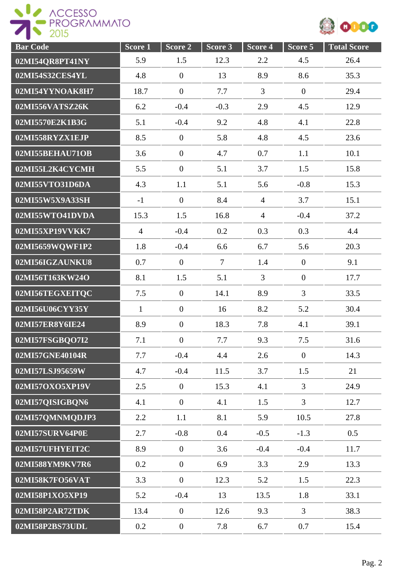



| <b>Bar Code</b> | $Score\overline{1}$ | Score 2          | Score 3        | Score 4        | Score 5          | <b>Total Score</b> |
|-----------------|---------------------|------------------|----------------|----------------|------------------|--------------------|
| 02MI54QR8PT41NY | 5.9                 | 1.5              | 12.3           | 2.2            | 4.5              | 26.4               |
| 02MI54S32CES4YL | 4.8                 | $\boldsymbol{0}$ | 13             | 8.9            | 8.6              | 35.3               |
| 02MI54YYNOAK8H7 | 18.7                | $\boldsymbol{0}$ | 7.7            | $\overline{3}$ | $\overline{0}$   | 29.4               |
| 02MI556VATSZ26K | 6.2                 | $-0.4$           | $-0.3$         | 2.9            | 4.5              | 12.9               |
| 02MI5570E2K1B3G | 5.1                 | $-0.4$           | 9.2            | 4.8            | 4.1              | 22.8               |
| 02MI558RYZX1EJP | 8.5                 | $\overline{0}$   | 5.8            | 4.8            | 4.5              | 23.6               |
| 02MI55BEHAU71OB | 3.6                 | $\boldsymbol{0}$ | 4.7            | 0.7            | 1.1              | 10.1               |
| 02MI55L2K4CYCMH | 5.5                 | $\boldsymbol{0}$ | 5.1            | 3.7            | 1.5              | 15.8               |
| 02MI55VTO31D6DA | 4.3                 | 1.1              | 5.1            | 5.6            | $-0.8$           | 15.3               |
| 02MI55W5X9A33SH | $-1$                | $\boldsymbol{0}$ | 8.4            | $\overline{4}$ | 3.7              | 15.1               |
| 02MI55WTO41DVDA | 15.3                | 1.5              | 16.8           | $\overline{4}$ | $-0.4$           | 37.2               |
| 02MI55XP19VVKK7 | $\overline{4}$      | $-0.4$           | 0.2            | 0.3            | 0.3              | 4.4                |
| 02MI5659WQWF1P2 | 1.8                 | $-0.4$           | 6.6            | 6.7            | 5.6              | 20.3               |
| 02MI56IGZAUNKU8 | 0.7                 | $\boldsymbol{0}$ | $\overline{7}$ | 1.4            | $\boldsymbol{0}$ | 9.1                |
| 02MI56T163KW24O | 8.1                 | 1.5              | 5.1            | $\overline{3}$ | $\overline{0}$   | 17.7               |
| 02MI56TEGXEITQC | 7.5                 | $\overline{0}$   | 14.1           | 8.9            | 3                | 33.5               |
| 02MI56U06CYY35Y | $\mathbf{1}$        | $\boldsymbol{0}$ | 16             | 8.2            | 5.2              | 30.4               |
| 02MI57ER8Y6IE24 | 8.9                 | $\boldsymbol{0}$ | 18.3           | 7.8            | 4.1              | 39.1               |
| 02MI57FSGBQO7I2 | 7.1                 | $\boldsymbol{0}$ | 7.7            | 9.3            | 7.5              | 31.6               |
| 02MI57GNE40104R | 7.7                 | $-0.4$           | 4.4            | 2.6            | $\mathbf{0}$     | 14.3               |
| 02MI57LSJ95659W | 4.7                 | $-0.4$           | 11.5           | 3.7            | 1.5              | 21                 |
| 02MI57OXO5XP19V | 2.5                 | $\overline{0}$   | 15.3           | 4.1            | $\overline{3}$   | 24.9               |
| 02MI57QISIGBQN6 | 4.1                 | $\mathbf{0}$     | 4.1            | 1.5            | $\overline{3}$   | 12.7               |
| 02MI57QMNMQDJP3 | 2.2                 | 1.1              | 8.1            | 5.9            | 10.5             | 27.8               |
| 02MI57SURV64P0E | 2.7                 | $-0.8$           | 0.4            | $-0.5$         | $-1.3$           | 0.5                |
| 02MI57UFHYEIT2C | 8.9                 | $\overline{0}$   | 3.6            | $-0.4$         | $-0.4$           | 11.7               |
| 02MI588YM9KV7R6 | 0.2                 | $\boldsymbol{0}$ | 6.9            | 3.3            | 2.9              | 13.3               |
| 02MI58K7FO56VAT | 3.3                 | $\boldsymbol{0}$ | 12.3           | 5.2            | 1.5              | 22.3               |
| 02MI58P1XO5XP19 | 5.2                 | $-0.4$           | 13             | 13.5           | 1.8              | 33.1               |
| 02MI58P2AR72TDK | 13.4                | $\overline{0}$   | 12.6           | 9.3            | $\overline{3}$   | 38.3               |
| 02MI58P2BS73UDL | 0.2                 | $\boldsymbol{0}$ | 7.8            | 6.7            | 0.7              | 15.4               |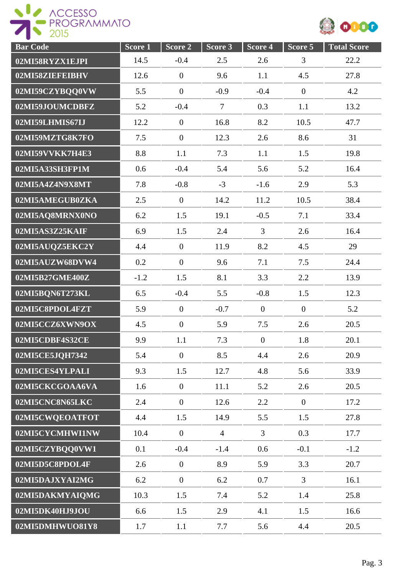



| <b>Bar Code</b> | $Score\overline{1}$ | $Score$ 2        | Score 3        | Score 4          | Score 5        | <b>Total Score</b> |
|-----------------|---------------------|------------------|----------------|------------------|----------------|--------------------|
| 02MI58RYZX1EJPI | 14.5                | $-0.4$           | 2.5            | 2.6              | 3              | 22.2               |
| 02MI58ZIEFEIBHV | 12.6                | $\boldsymbol{0}$ | 9.6            | 1.1              | 4.5            | 27.8               |
| 02MI59CZYBQQ0VW | 5.5                 | $\boldsymbol{0}$ | $-0.9$         | $-0.4$           | $\overline{0}$ | 4.2                |
| 02MI59JOUMCDBFZ | 5.2                 | $-0.4$           | $\overline{7}$ | 0.3              | 1.1            | 13.2               |
| 02MI59LHMIS67IJ | 12.2                | $\overline{0}$   | 16.8           | 8.2              | 10.5           | 47.7               |
| 02MI59MZTG8K7FO | 7.5                 | $\boldsymbol{0}$ | 12.3           | 2.6              | 8.6            | 31                 |
| 02MI59VVKK7H4E3 | 8.8                 | 1.1              | 7.3            | 1.1              | 1.5            | 19.8               |
| 02MI5A33SH3FP1M | 0.6                 | $-0.4$           | 5.4            | 5.6              | 5.2            | 16.4               |
| 02MI5A4Z4N9X8MT | 7.8                 | $-0.8$           | $-3$           | $-1.6$           | 2.9            | 5.3                |
| 02MI5AMEGUB0ZKA | 2.5                 | $\overline{0}$   | 14.2           | 11.2             | 10.5           | 38.4               |
| 02MI5AQ8MRNX0NO | 6.2                 | 1.5              | 19.1           | $-0.5$           | 7.1            | 33.4               |
| 02MI5AS3Z25KAIF | 6.9                 | 1.5              | 2.4            | $\overline{3}$   | 2.6            | 16.4               |
| 02MI5AUQZ5EKC2Y | 4.4                 | $\boldsymbol{0}$ | 11.9           | 8.2              | 4.5            | 29                 |
| 02MI5AUZW68DVW4 | 0.2                 | $\boldsymbol{0}$ | 9.6            | 7.1              | 7.5            | 24.4               |
| 02MI5B27GME400Z | $-1.2$              | 1.5              | 8.1            | 3.3              | 2.2            | 13.9               |
| 02MI5BQN6T273KL | 6.5                 | $-0.4$           | 5.5            | $-0.8$           | 1.5            | 12.3               |
| 02MI5C8PDOL4FZT | 5.9                 | $\overline{0}$   | $-0.7$         | $\overline{0}$   | $\overline{0}$ | 5.2                |
| 02MI5CCZ6XWN9OX | 4.5                 | $\mathbf{0}$     | 5.9            | 7.5              | 2.6            | 20.5               |
| 02MI5CDBF4S32CE | 9.9                 | 1.1              | 7.3            | $\boldsymbol{0}$ | 1.8            | 20.1               |
| 02MI5CE5JQH7342 | 5.4                 | $\overline{0}$   | 8.5            | 4.4              | 2.6            | 20.9               |
| 02MI5CES4YLPALI | 9.3                 | 1.5              | 12.7           | 4.8              | 5.6            | 33.9               |
| 02MI5CKCGOAA6VA | 1.6                 | $\overline{0}$   | 11.1           | 5.2              | 2.6            | 20.5               |
| 02MI5CNC8N65LKC | 2.4                 | $\overline{0}$   | 12.6           | 2.2              | $\overline{0}$ | 17.2               |
| 02MI5CWQEOATFOT | 4.4                 | 1.5              | 14.9           | 5.5              | 1.5            | 27.8               |
| 02MI5CYCMHWI1NW | 10.4                | $\boldsymbol{0}$ | $\overline{4}$ | $\overline{3}$   | 0.3            | 17.7               |
| 02MI5CZYBQQ0VW1 | 0.1                 | $-0.4$           | $-1.4$         | 0.6              | $-0.1$         | $-1.2$             |
| 02MI5D5C8PDOL4F | 2.6                 | $\boldsymbol{0}$ | 8.9            | 5.9              | 3.3            | 20.7               |
| 02MI5DAJXYAI2MG | 6.2                 | $\boldsymbol{0}$ | 6.2            | 0.7              | $\overline{3}$ | 16.1               |
| 02MI5DAKMYAIQMG | 10.3                | 1.5              | 7.4            | 5.2              | 1.4            | 25.8               |
| 02MI5DK40HJ9JOU | 6.6                 | 1.5              | 2.9            | 4.1              | 1.5            | 16.6               |
| 02MI5DMHWUO81Y8 | 1.7                 | 1.1              | 7.7            | 5.6              | 4.4            | 20.5               |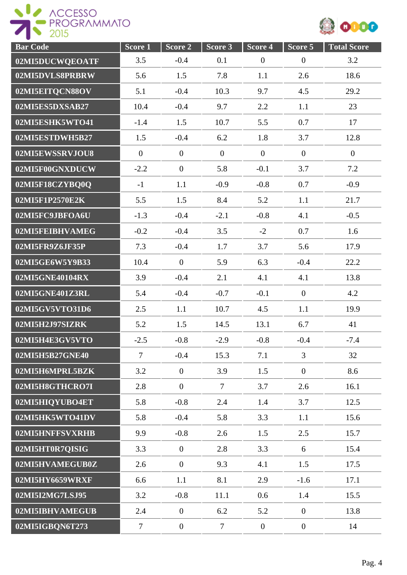



| <b>Bar Code</b> | Score <sub>1</sub> | $\overline{\text{Score}}$ 2 | Score 3        | Score 4        | $\overline{\text{Score}}$ 5 | <b>Total Score</b> |
|-----------------|--------------------|-----------------------------|----------------|----------------|-----------------------------|--------------------|
| 02MI5DUCWQEOATF | 3.5                | $-0.4$                      | 0.1            | $\overline{0}$ | $\boldsymbol{0}$            | 3.2                |
| 02MI5DVLS8PRBRW | 5.6                | 1.5                         | 7.8            | 1.1            | 2.6                         | 18.6               |
| 02MI5EITQCN88OV | 5.1                | $-0.4$                      | 10.3           | 9.7            | 4.5                         | 29.2               |
| 02MI5ES5DXSAB27 | 10.4               | $-0.4$                      | 9.7            | 2.2            | 1.1                         | 23                 |
| 02MI5ESHK5WTO41 | $-1.4$             | 1.5                         | 10.7           | 5.5            | 0.7                         | 17                 |
| 02MI5ESTDWH5B27 | 1.5                | $-0.4$                      | 6.2            | 1.8            | 3.7                         | 12.8               |
| 02MI5EWSSRVJOU8 | $\mathbf{0}$       | $\overline{0}$              | $\overline{0}$ | $\mathbf{0}$   | $\mathbf{0}$                | $\overline{0}$     |
| 02MI5F00GNXDUCW | $-2.2$             | $\overline{0}$              | 5.8            | $-0.1$         | 3.7                         | 7.2                |
| 02MI5F18CZYBQ0Q | $-1$               | 1.1                         | $-0.9$         | $-0.8$         | 0.7                         | $-0.9$             |
| 02MI5F1P2570E2K | 5.5                | 1.5                         | 8.4            | 5.2            | 1.1                         | 21.7               |
| 02MI5FC9JBFOA6U | $-1.3$             | $-0.4$                      | $-2.1$         | $-0.8$         | 4.1                         | $-0.5$             |
| 02MI5FEIBHVAMEG | $-0.2$             | $-0.4$                      | 3.5            | $-2$           | 0.7                         | 1.6                |
| 02MI5FR9Z6JF35P | 7.3                | $-0.4$                      | 1.7            | 3.7            | 5.6                         | 17.9               |
| 02MI5GE6W5Y9B33 | 10.4               | $\overline{0}$              | 5.9            | 6.3            | $-0.4$                      | 22.2               |
| 02MI5GNE40104RX | 3.9                | $-0.4$                      | 2.1            | 4.1            | 4.1                         | 13.8               |
| 02MI5GNE401Z3RL | 5.4                | $-0.4$                      | $-0.7$         | $-0.1$         | $\overline{0}$              | 4.2                |
| 02MI5GV5VTO31D6 | 2.5                | 1.1                         | 10.7           | 4.5            | 1.1                         | 19.9               |
| 02MI5H2J97SIZRK | 5.2                | 1.5                         | 14.5           | 13.1           | 6.7                         | 41                 |
| 02MI5H4E3GV5VTO | $-2.5$             | $-0.8$                      | $-2.9$         | $-0.8$         | $-0.4$                      | $-7.4$             |
| 02MI5H5B27GNE40 | $\overline{7}$     | $-0.4$                      | 15.3           | 7.1            | 3                           | 32                 |
| 02MI5H6MPRL5BZK | 3.2                | $\boldsymbol{0}$            | 3.9            | 1.5            | $\overline{0}$              | 8.6                |
| 02MI5H8GTHCRO7I | 2.8                | $\overline{0}$              | $\tau$         | 3.7            | 2.6                         | 16.1               |
| 02MI5HIQYUBO4ET | 5.8                | $-0.8$                      | 2.4            | 1.4            | 3.7                         | 12.5               |
| 02MI5HK5WTO41DV | 5.8                | $-0.4$                      | 5.8            | 3.3            | 1.1                         | 15.6               |
| 02MI5HNFFSVXRHB | 9.9                | $-0.8$                      | 2.6            | 1.5            | 2.5                         | 15.7               |
| 02MI5HT0R7QISIG | 3.3                | $\overline{0}$              | 2.8            | 3.3            | 6                           | 15.4               |
| 02MI5HVAMEGUB0Z | 2.6                | $\overline{0}$              | 9.3            | 4.1            | 1.5                         | 17.5               |
| 02MI5HY6659WRXF | 6.6                | 1.1                         | 8.1            | 2.9            | $-1.6$                      | 17.1               |
| 02MI5I2MG7LSJ95 | 3.2                | $-0.8$                      | 11.1           | 0.6            | 1.4                         | 15.5               |
| 02MI5IBHVAMEGUB | 2.4                | $\overline{0}$              | 6.2            | 5.2            | $\overline{0}$              | 13.8               |
| 02MI5IGBQN6T273 | $\tau$             | $\overline{0}$              | $\tau$         | $\overline{0}$ | $\mathbf{0}$                | 14                 |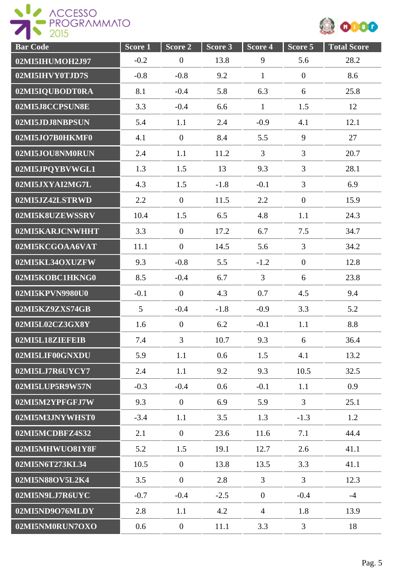



| <b>Bar Code</b> | $Score$ <sup>1</sup> | Score 2          | Score 3 | Score 4        | Score 5        | <b>Total Score</b> |
|-----------------|----------------------|------------------|---------|----------------|----------------|--------------------|
| 02MI5IHUMOH2J97 | $-0.2$               | $\boldsymbol{0}$ | 13.8    | 9              | 5.6            | 28.2               |
| 02MI5IHVY0TJD7S | $-0.8$               | $-0.8$           | 9.2     | $\mathbf{1}$   | $\overline{0}$ | 8.6                |
| 02MI5IQUBODT0RA | 8.1                  | $-0.4$           | 5.8     | 6.3            | 6              | 25.8               |
| 02MI5J8CCPSUN8E | 3.3                  | $-0.4$           | 6.6     | $\mathbf{1}$   | 1.5            | 12                 |
| 02MI5JDJ8NBPSUN | 5.4                  | 1.1              | 2.4     | $-0.9$         | 4.1            | 12.1               |
| 02MI5JO7B0HKMF0 | 4.1                  | $\overline{0}$   | 8.4     | 5.5            | 9              | 27                 |
| 02MI5JOU8NM0RUN | 2.4                  | 1.1              | 11.2    | 3              | $\overline{3}$ | 20.7               |
| 02MI5JPQYBVWGL1 | 1.3                  | 1.5              | 13      | 9.3            | $\overline{3}$ | 28.1               |
| 02MI5JXYAI2MG7L | 4.3                  | 1.5              | $-1.8$  | $-0.1$         | $\overline{3}$ | 6.9                |
| 02MI5JZ42LSTRWD | 2.2                  | $\mathbf{0}$     | 11.5    | 2.2            | $\overline{0}$ | 15.9               |
| 02MI5K8UZEWSSRV | 10.4                 | 1.5              | 6.5     | 4.8            | 1.1            | 24.3               |
| 02MI5KARJCNWHHT | 3.3                  | $\boldsymbol{0}$ | 17.2    | 6.7            | 7.5            | 34.7               |
| 02MI5KCGOAA6VAT | 11.1                 | $\overline{0}$   | 14.5    | 5.6            | $\overline{3}$ | 34.2               |
| 02MI5KL34OXUZFW | 9.3                  | $-0.8$           | 5.5     | $-1.2$         | $\overline{0}$ | 12.8               |
| 02MI5KOBC1HKNG0 | 8.5                  | $-0.4$           | 6.7     | $\overline{3}$ | 6              | 23.8               |
| 02MI5KPVN9980U0 | $-0.1$               | $\overline{0}$   | 4.3     | 0.7            | 4.5            | 9.4                |
| 02MI5KZ9ZXS74GB | 5                    | $-0.4$           | $-1.8$  | $-0.9$         | 3.3            | 5.2                |
| 02MI5L02CZ3GX8Y | 1.6                  | $\overline{0}$   | 6.2     | $-0.1$         | 1.1            | 8.8                |
| 02MI5L18ZIEFEIB | 7.4                  | 3                | 10.7    | 9.3            | 6              | 36.4               |
| 02MI5LIF00GNXDU | 5.9                  | 1.1              | 0.6     | 1.5            | 4.1            | 13.2               |
| 02MI5LJ7R6UYCY7 | 2.4                  | 1.1              | 9.2     | 9.3            | 10.5           | 32.5               |
| 02MI5LUP5R9W57N | $-0.3$               | $-0.4$           | 0.6     | $-0.1$         | 1.1            | 0.9                |
| 02MI5M2YPFGFJ7W | 9.3                  | $\overline{0}$   | 6.9     | 5.9            | $\overline{3}$ | 25.1               |
| 02MI5M3JNYWHST0 | $-3.4$               | 1.1              | 3.5     | 1.3            | $-1.3$         | 1.2                |
| 02MI5MCDBFZ4S32 | 2.1                  | $\overline{0}$   | 23.6    | 11.6           | 7.1            | 44.4               |
| 02MI5MHWUO81Y8F | 5.2                  | 1.5              | 19.1    | 12.7           | 2.6            | 41.1               |
| 02MI5N6T273KL34 | 10.5                 | $\mathbf{0}$     | 13.8    | 13.5           | 3.3            | 41.1               |
| 02MI5N88OV5L2K4 | 3.5                  | $\overline{0}$   | 2.8     | $\overline{3}$ | $\overline{3}$ | 12.3               |
| 02MI5N9LJ7R6UYC | $-0.7$               | $-0.4$           | $-2.5$  | $\overline{0}$ | $-0.4$         | $-4$               |
| 02MI5ND9O76MLDY | 2.8                  | 1.1              | 4.2     | $\overline{4}$ | 1.8            | 13.9               |
| 02MI5NM0RUN7OXO | 0.6                  | $\boldsymbol{0}$ | 11.1    | 3.3            | $\mathfrak{Z}$ | 18                 |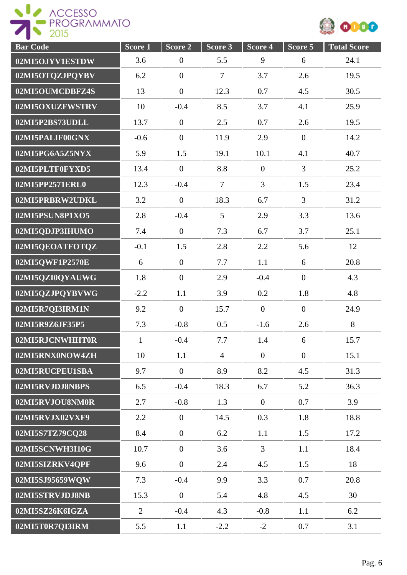



| <b>Bar Code</b> | Score 1        | $\overline{\text{Score}}$ 2 | Score 3        | Score 4          | Score 5          | <b>Total Score</b> |
|-----------------|----------------|-----------------------------|----------------|------------------|------------------|--------------------|
| 02MI5OJYV1ESTDW | 3.6            | $\boldsymbol{0}$            | 5.5            | 9                | 6                | 24.1               |
| 02MI5OTQZJPQYBV | 6.2            | $\boldsymbol{0}$            | $\overline{7}$ | 3.7              | 2.6              | 19.5               |
| 02MI5OUMCDBFZ4S | 13             | $\boldsymbol{0}$            | 12.3           | 0.7              | 4.5              | 30.5               |
| 02MI5OXUZFWSTRV | 10             | $-0.4$                      | 8.5            | 3.7              | 4.1              | 25.9               |
| 02MI5P2BS73UDLL | 13.7           | $\boldsymbol{0}$            | 2.5            | 0.7              | 2.6              | 19.5               |
| 02MI5PALIF00GNX | $-0.6$         | $\boldsymbol{0}$            | 11.9           | 2.9              | $\overline{0}$   | 14.2               |
| 02MI5PG6A5Z5NYX | 5.9            | 1.5                         | 19.1           | 10.1             | 4.1              | 40.7               |
| 02MI5PLTF0FYXD5 | 13.4           | $\overline{0}$              | 8.8            | $\boldsymbol{0}$ | $\overline{3}$   | 25.2               |
| 02MI5PP2571ERL0 | 12.3           | $-0.4$                      | $\overline{7}$ | $\overline{3}$   | 1.5              | 23.4               |
| 02MI5PRBRW2UDKL | 3.2            | $\boldsymbol{0}$            | 18.3           | 6.7              | $\overline{3}$   | 31.2               |
| 02MI5PSUN8P1XO5 | 2.8            | $-0.4$                      | 5              | 2.9              | 3.3              | 13.6               |
| 02MI5QDJP3IHUMO | 7.4            | $\boldsymbol{0}$            | 7.3            | 6.7              | 3.7              | 25.1               |
| 02MI5QEOATFOTQZ | $-0.1$         | 1.5                         | 2.8            | 2.2              | 5.6              | 12                 |
| 02MI5QWF1P2570E | 6              | $\mathbf{0}$                | 7.7            | 1.1              | 6                | 20.8               |
| 02MI5QZI0QYAUWG | 1.8            | $\boldsymbol{0}$            | 2.9            | $-0.4$           | $\overline{0}$   | 4.3                |
| 02MI5QZJPQYBVWG | $-2.2$         | 1.1                         | 3.9            | 0.2              | 1.8              | 4.8                |
| 02MI5R7QI3IRM1N | 9.2            | $\boldsymbol{0}$            | 15.7           | $\overline{0}$   | $\boldsymbol{0}$ | 24.9               |
| 02MI5R9Z6JF35P5 | 7.3            | $-0.8$                      | 0.5            | $-1.6$           | 2.6              | 8                  |
| 02MI5RJCNWHHT0R | $\mathbf{1}$   | $-0.4$                      | 7.7            | 1.4              | 6                | 15.7               |
| 02MI5RNX0NOW4ZH | 10             | 1.1                         | $\overline{4}$ | $\overline{0}$   | $\overline{0}$   | 15.1               |
| 02MI5RUCPEU1SBA | 9.7            | $\overline{0}$              | 8.9            | 8.2              | 4.5              | 31.3               |
| 02MI5RVJDJ8NBPS | 6.5            | $-0.4$                      | 18.3           | 6.7              | 5.2              | 36.3               |
| 02MI5RVJOU8NM0R | 2.7            | $-0.8$                      | 1.3            | $\overline{0}$   | 0.7              | 3.9                |
| 02MI5RVJX02VXF9 | 2.2            | $\overline{0}$              | 14.5           | 0.3              | 1.8              | 18.8               |
| 02MI5S7TZ79CQ28 | 8.4            | $\overline{0}$              | 6.2            | 1.1              | 1.5              | 17.2               |
| 02MI5SCNWH3I10G | 10.7           | $\boldsymbol{0}$            | 3.6            | $\overline{3}$   | 1.1              | 18.4               |
| 02MI5SIZRKV4QPF | 9.6            | $\boldsymbol{0}$            | 2.4            | 4.5              | 1.5              | 18                 |
| 02MI5SJ95659WQW | 7.3            | $-0.4$                      | 9.9            | 3.3              | 0.7              | 20.8               |
| 02MI5STRVJDJ8NB | 15.3           | $\overline{0}$              | 5.4            | 4.8              | 4.5              | 30                 |
| 02MI5SZ26K6IGZA | $\overline{2}$ | $-0.4$                      | 4.3            | $-0.8$           | 1.1              | 6.2                |
| 02MI5T0R7QI3IRM | 5.5            | 1.1                         | $-2.2$         | $-2$             | 0.7              | 3.1                |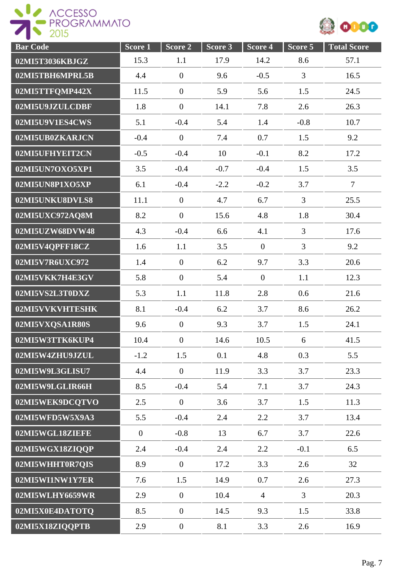



| <b>Bar Code</b> | Score 1      | Score 2          | Score 3 | Score 4        | Score 5        | <b>Total Score</b> |
|-----------------|--------------|------------------|---------|----------------|----------------|--------------------|
| 02MI5T3036KBJGZ | 15.3         | 1.1              | 17.9    | 14.2           | 8.6            | 57.1               |
| 02MI5TBH6MPRL5B | 4.4          | $\boldsymbol{0}$ | 9.6     | $-0.5$         | $\overline{3}$ | 16.5               |
| 02MI5TTFQMP442X | 11.5         | $\boldsymbol{0}$ | 5.9     | 5.6            | 1.5            | 24.5               |
| 02MI5U9JZULCDBF | 1.8          | $\boldsymbol{0}$ | 14.1    | 7.8            | 2.6            | 26.3               |
| 02MI5U9V1ES4CWS | 5.1          | $-0.4$           | 5.4     | 1.4            | $-0.8$         | 10.7               |
| 02MI5UB0ZKARJCN | $-0.4$       | $\overline{0}$   | 7.4     | 0.7            | 1.5            | 9.2                |
| 02MI5UFHYEIT2CN | $-0.5$       | $-0.4$           | 10      | $-0.1$         | 8.2            | 17.2               |
| 02MI5UN7OXO5XP1 | 3.5          | $-0.4$           | $-0.7$  | $-0.4$         | 1.5            | 3.5                |
| 02MI5UN8P1XO5XP | 6.1          | $-0.4$           | $-2.2$  | $-0.2$         | 3.7            | $\overline{7}$     |
| 02MI5UNKU8DVLS8 | 11.1         | $\overline{0}$   | 4.7     | 6.7            | $\overline{3}$ | 25.5               |
| 02MI5UXC972AQ8M | 8.2          | $\boldsymbol{0}$ | 15.6    | 4.8            | 1.8            | 30.4               |
| 02MI5UZW68DVW48 | 4.3          | $-0.4$           | 6.6     | 4.1            | 3              | 17.6               |
| 02MI5V4QPFF18CZ | 1.6          | 1.1              | 3.5     | $\overline{0}$ | $\overline{3}$ | 9.2                |
| 02MI5V7R6UXC972 | 1.4          | $\boldsymbol{0}$ | 6.2     | 9.7            | 3.3            | 20.6               |
| 02MI5VKK7H4E3GV | 5.8          | $\boldsymbol{0}$ | 5.4     | $\overline{0}$ | 1.1            | 12.3               |
| 02MI5VS2L3T0DXZ | 5.3          | 1.1              | 11.8    | 2.8            | 0.6            | 21.6               |
| 02MI5VVKVHTESHK | 8.1          | $-0.4$           | 6.2     | 3.7            | 8.6            | 26.2               |
| 02MI5VXQSA1R80S | 9.6          | $\overline{0}$   | 9.3     | 3.7            | 1.5            | 24.1               |
| 02MI5W3TTK6KUP4 | 10.4         | $\boldsymbol{0}$ | 14.6    | 10.5           | 6              | 41.5               |
| 02MI5W4ZHU9JZUL | $-1.2$       | 1.5              | 0.1     | 4.8            | 0.3            | 5.5                |
| 02MI5W9L3GLISU7 | 4.4          | $\boldsymbol{0}$ | 11.9    | 3.3            | 3.7            | 23.3               |
| 02MI5W9LGLIR66H | 8.5          | $-0.4$           | 5.4     | 7.1            | 3.7            | 24.3               |
| 02MI5WEK9DCQTVO | 2.5          | $\boldsymbol{0}$ | 3.6     | 3.7            | 1.5            | 11.3               |
| 02MI5WFD5W5X9A3 | 5.5          | $-0.4$           | 2.4     | 2.2            | 3.7            | 13.4               |
| 02MI5WGL18ZIEFE | $\mathbf{0}$ | $-0.8$           | 13      | 6.7            | 3.7            | 22.6               |
| 02MI5WGX18ZIQQP | 2.4          | $-0.4$           | 2.4     | 2.2            | $-0.1$         | 6.5                |
| 02MI5WHHT0R7QIS | 8.9          | $\mathbf{0}$     | 17.2    | 3.3            | 2.6            | 32                 |
| 02MI5WI1NW1Y7ER | 7.6          | 1.5              | 14.9    | 0.7            | 2.6            | 27.3               |
| 02MI5WLHY6659WR | 2.9          | $\mathbf{0}$     | 10.4    | $\overline{4}$ | $\overline{3}$ | 20.3               |
| 02MI5X0E4DATOTQ | 8.5          | $\overline{0}$   | 14.5    | 9.3            | 1.5            | 33.8               |
| 02MI5X18ZIQQPTB | 2.9          | $\boldsymbol{0}$ | 8.1     | 3.3            | 2.6            | 16.9               |